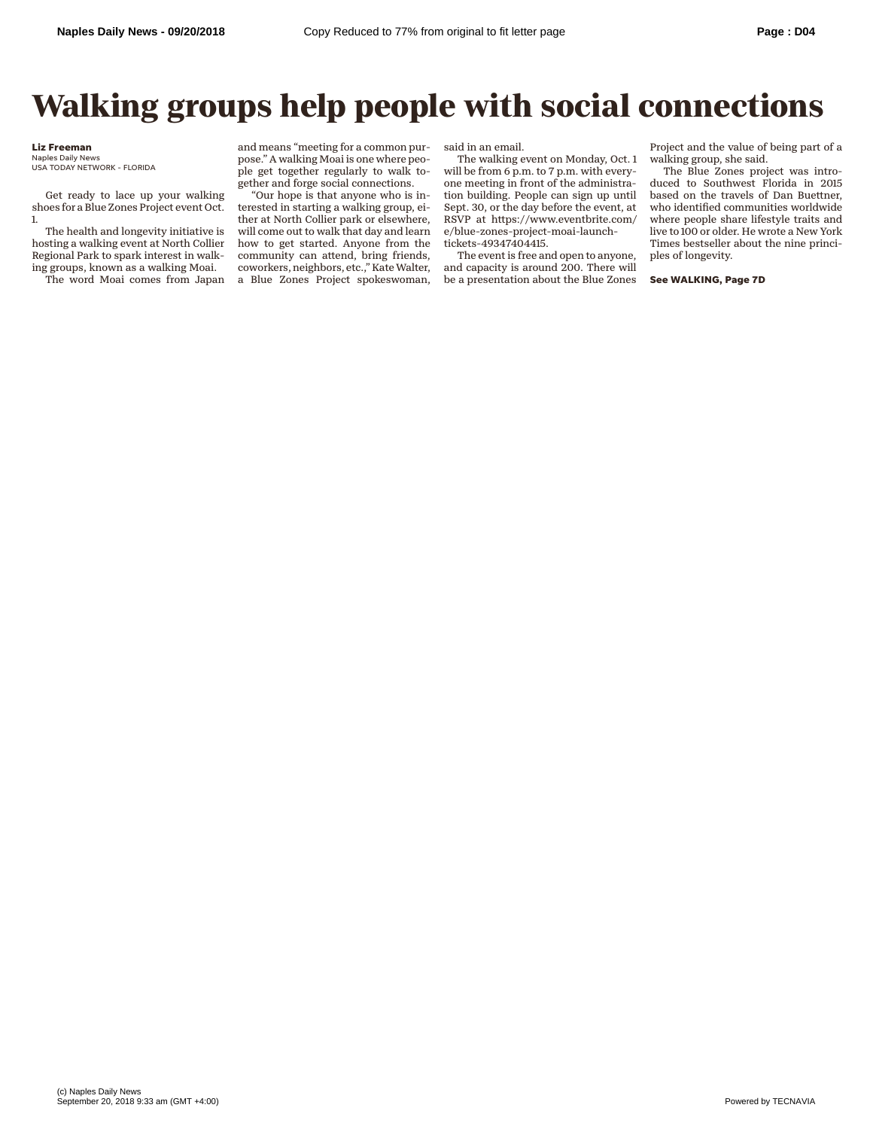## **Walking groups help people with social connections**

## **Liz Freeman**

Naples Daily News USA TODAY NETWORK - FLORIDA

Get ready to lace up your walking shoes for a Blue Zones Project event Oct. 1.

The health and longevity initiative is hosting a walking event at North Collier Regional Park to spark interest in walking groups, known as a walking Moai.

The word Moai comes from Japan

and means "meeting for a common purpose." A walking Moai is one where people get together regularly to walk together and forge social connections.

"Our hope is that anyone who is interested in starting a walking group, either at North Collier park or elsewhere, will come out to walk that day and learn how to get started. Anyone from the community can attend, bring friends, coworkers, neighbors, etc.," Kate Walter, a Blue Zones Project spokeswoman,

said in an email.

The walking event on Monday, Oct. 1 will be from 6 p.m. to 7 p.m. with everyone meeting in front of the administration building. People can sign up until Sept. 30, or the day before the event, at RSVP at https://www.eventbrite.com/ e/blue-zones-project-moai-launchtickets-49347404415.

The event is free and open to anyone, and capacity is around 200. There will be a presentation about the Blue Zones

Project and the value of being part of a walking group, she said.

The Blue Zones project was introduced to Southwest Florida in 2015 based on the travels of Dan Buettner, who identified communities worldwide where people share lifestyle traits and live to 100 or older. He wrote a New York Times bestseller about the nine principles of longevity.

**See WALKING, Page 7D**